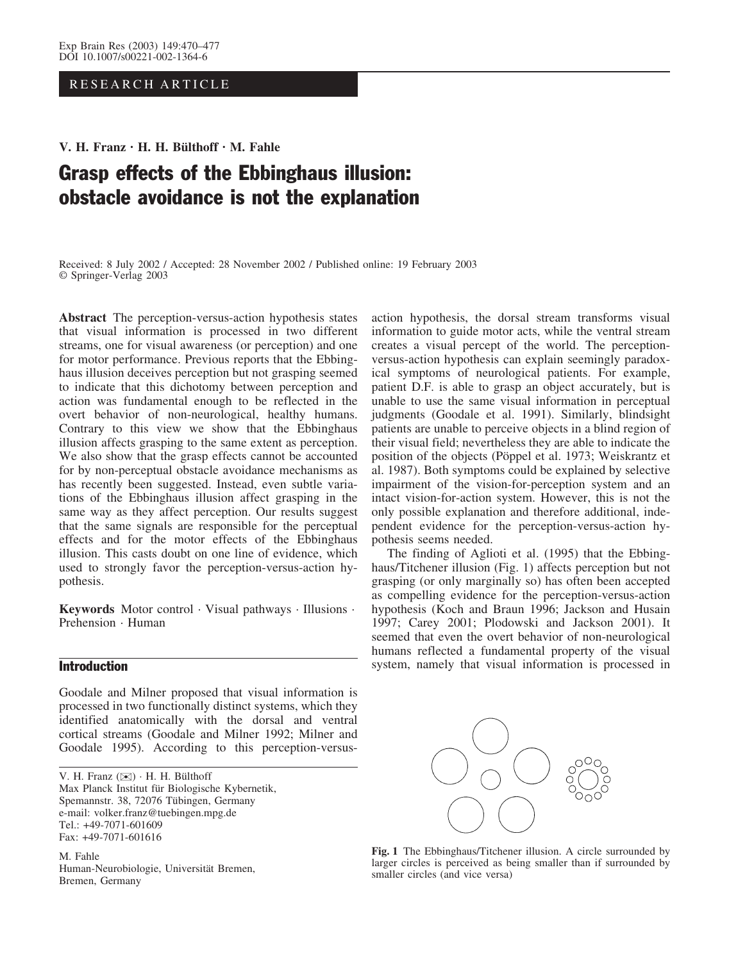# RESEARCH ARTICLE

V. H. Franz  $\cdot$  H. H. Bülthoff  $\cdot$  M. Fahle

# Grasp effects of the Ebbinghaus illusion: obstacle avoidance is not the explanation

Received: 8 July 2002 / Accepted: 28 November 2002 / Published online: 19 February 2003 Springer-Verlag 2003

Abstract The perception-versus-action hypothesis states that visual information is processed in two different streams, one for visual awareness (or perception) and one for motor performance. Previous reports that the Ebbinghaus illusion deceives perception but not grasping seemed to indicate that this dichotomy between perception and action was fundamental enough to be reflected in the overt behavior of non-neurological, healthy humans. Contrary to this view we show that the Ebbinghaus illusion affects grasping to the same extent as perception. We also show that the grasp effects cannot be accounted for by non-perceptual obstacle avoidance mechanisms as has recently been suggested. Instead, even subtle variations of the Ebbinghaus illusion affect grasping in the same way as they affect perception. Our results suggest that the same signals are responsible for the perceptual effects and for the motor effects of the Ebbinghaus illusion. This casts doubt on one line of evidence, which used to strongly favor the perception-versus-action hypothesis.

Keywords Motor control · Visual pathways · Illusions · Prehension · Human

# Introduction

Goodale and Milner proposed that visual information is processed in two functionally distinct systems, which they identified anatomically with the dorsal and ventral cortical streams (Goodale and Milner 1992; Milner and Goodale 1995). According to this perception-versus-

V. H. Franz ( $\bowtie$ ) · H. H. Bülthoff Max Planck Institut für Biologische Kybernetik, Spemannstr. 38, 72076 Tübingen, Germany e-mail: volker.franz@tuebingen.mpg.de Tel.: +49-7071-601609 Fax: +49-7071-601616

M. Fahle Human-Neurobiologie, Universität Bremen, Bremen, Germany

action hypothesis, the dorsal stream transforms visual information to guide motor acts, while the ventral stream creates a visual percept of the world. The perceptionversus-action hypothesis can explain seemingly paradoxical symptoms of neurological patients. For example, patient D.F. is able to grasp an object accurately, but is unable to use the same visual information in perceptual judgments (Goodale et al. 1991). Similarly, blindsight patients are unable to perceive objects in a blind region of their visual field; nevertheless they are able to indicate the position of the objects (Pöppel et al. 1973; Weiskrantz et al. 1987). Both symptoms could be explained by selective impairment of the vision-for-perception system and an intact vision-for-action system. However, this is not the only possible explanation and therefore additional, independent evidence for the perception-versus-action hypothesis seems needed.

The finding of Aglioti et al. (1995) that the Ebbinghaus/Titchener illusion (Fig. 1) affects perception but not grasping (or only marginally so) has often been accepted as compelling evidence for the perception-versus-action hypothesis (Koch and Braun 1996; Jackson and Husain 1997; Carey 2001; Plodowski and Jackson 2001). It seemed that even the overt behavior of non-neurological humans reflected a fundamental property of the visual system, namely that visual information is processed in



Fig. 1 The Ebbinghaus/Titchener illusion. A circle surrounded by larger circles is perceived as being smaller than if surrounded by smaller circles (and vice versa)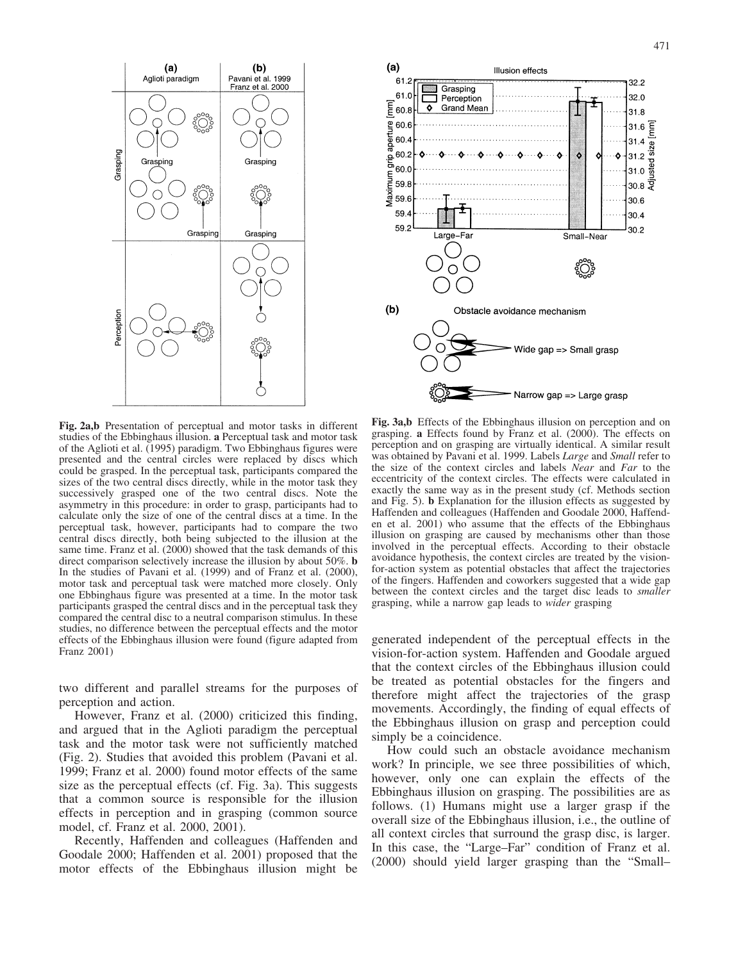



Fig. 2a,b Presentation of perceptual and motor tasks in different studies of the Ebbinghaus illusion. a Perceptual task and motor task of the Aglioti et al. (1995) paradigm. Two Ebbinghaus figures were presented and the central circles were replaced by discs which could be grasped. In the perceptual task, participants compared the sizes of the two central discs directly, while in the motor task they successively grasped one of the two central discs. Note the asymmetry in this procedure: in order to grasp, participants had to calculate only the size of one of the central discs at a time. In the perceptual task, however, participants had to compare the two central discs directly, both being subjected to the illusion at the same time. Franz et al. (2000) showed that the task demands of this direct comparison selectively increase the illusion by about 50%. b In the studies of Pavani et al. (1999) and of Franz et al. (2000), motor task and perceptual task were matched more closely. Only one Ebbinghaus figure was presented at a time. In the motor task participants grasped the central discs and in the perceptual task they compared the central disc to a neutral comparison stimulus. In these studies, no difference between the perceptual effects and the motor effects of the Ebbinghaus illusion were found (figure adapted from Franz 2001)

two different and parallel streams for the purposes of perception and action.

However, Franz et al. (2000) criticized this finding, and argued that in the Aglioti paradigm the perceptual task and the motor task were not sufficiently matched (Fig. 2). Studies that avoided this problem (Pavani et al. 1999; Franz et al. 2000) found motor effects of the same size as the perceptual effects (cf. Fig. 3a). This suggests that a common source is responsible for the illusion effects in perception and in grasping (common source model, cf. Franz et al. 2000, 2001).

Recently, Haffenden and colleagues (Haffenden and Goodale 2000; Haffenden et al. 2001) proposed that the motor effects of the Ebbinghaus illusion might be

Fig. 3a,b Effects of the Ebbinghaus illusion on perception and on grasping. a Effects found by Franz et al. (2000). The effects on perception and on grasping are virtually identical. A similar result was obtained by Pavani et al. 1999. Labels Large and Small refer to the size of the context circles and labels Near and Far to the eccentricity of the context circles. The effects were calculated in exactly the same way as in the present study (cf. Methods section and Fig. 5). b Explanation for the illusion effects as suggested by Haffenden and colleagues (Haffenden and Goodale 2000, Haffenden et al. 2001) who assume that the effects of the Ebbinghaus illusion on grasping are caused by mechanisms other than those involved in the perceptual effects. According to their obstacle avoidance hypothesis, the context circles are treated by the visionfor-action system as potential obstacles that affect the trajectories of the fingers. Haffenden and coworkers suggested that a wide gap between the context circles and the target disc leads to *smaller* grasping, while a narrow gap leads to *wider* grasping

generated independent of the perceptual effects in the vision-for-action system. Haffenden and Goodale argued that the context circles of the Ebbinghaus illusion could be treated as potential obstacles for the fingers and therefore might affect the trajectories of the grasp movements. Accordingly, the finding of equal effects of the Ebbinghaus illusion on grasp and perception could simply be a coincidence.

How could such an obstacle avoidance mechanism work? In principle, we see three possibilities of which, however, only one can explain the effects of the Ebbinghaus illusion on grasping. The possibilities are as follows. (1) Humans might use a larger grasp if the overall size of the Ebbinghaus illusion, i.e., the outline of all context circles that surround the grasp disc, is larger. In this case, the "Large–Far" condition of Franz et al. (2000) should yield larger grasping than the "Small–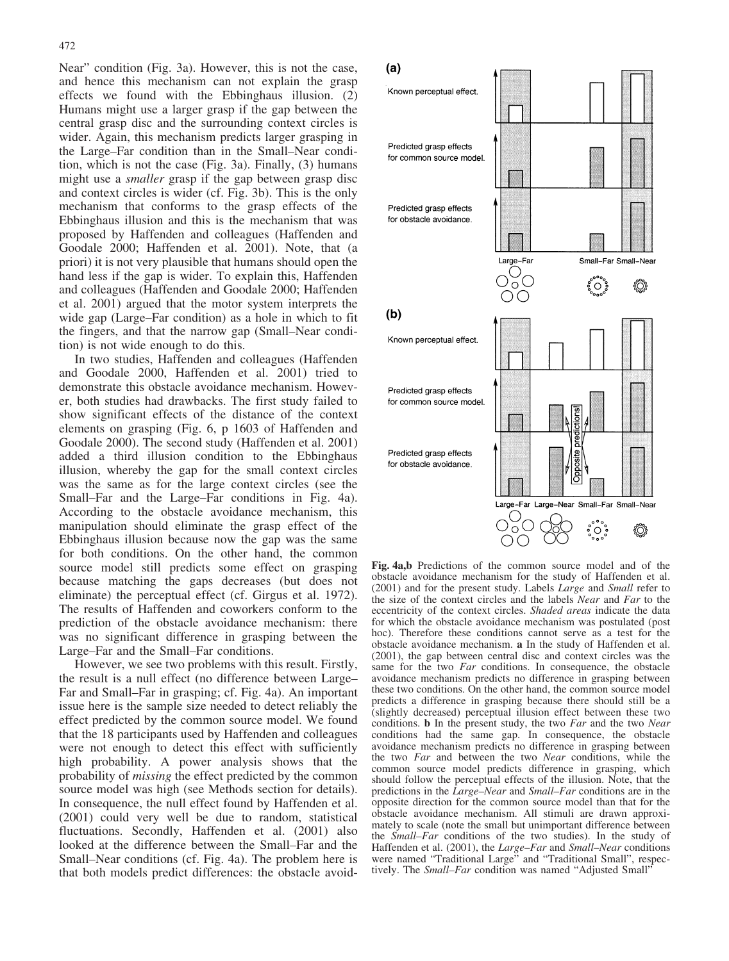Near" condition (Fig. 3a). However, this is not the case, and hence this mechanism can not explain the grasp effects we found with the Ebbinghaus illusion. (2) Humans might use a larger grasp if the gap between the central grasp disc and the surrounding context circles is wider. Again, this mechanism predicts larger grasping in the Large–Far condition than in the Small–Near condition, which is not the case (Fig. 3a). Finally, (3) humans might use a smaller grasp if the gap between grasp disc and context circles is wider (cf. Fig. 3b). This is the only mechanism that conforms to the grasp effects of the Ebbinghaus illusion and this is the mechanism that was proposed by Haffenden and colleagues (Haffenden and Goodale 2000; Haffenden et al. 2001). Note, that (a priori) it is not very plausible that humans should open the hand less if the gap is wider. To explain this, Haffenden and colleagues (Haffenden and Goodale 2000; Haffenden et al. 2001) argued that the motor system interprets the wide gap (Large–Far condition) as a hole in which to fit the fingers, and that the narrow gap (Small–Near condition) is not wide enough to do this.

In two studies, Haffenden and colleagues (Haffenden and Goodale 2000, Haffenden et al. 2001) tried to demonstrate this obstacle avoidance mechanism. However, both studies had drawbacks. The first study failed to show significant effects of the distance of the context elements on grasping (Fig. 6, p 1603 of Haffenden and Goodale 2000). The second study (Haffenden et al. 2001) added a third illusion condition to the Ebbinghaus illusion, whereby the gap for the small context circles was the same as for the large context circles (see the Small–Far and the Large–Far conditions in Fig. 4a). According to the obstacle avoidance mechanism, this manipulation should eliminate the grasp effect of the Ebbinghaus illusion because now the gap was the same for both conditions. On the other hand, the common source model still predicts some effect on grasping because matching the gaps decreases (but does not eliminate) the perceptual effect (cf. Girgus et al. 1972). The results of Haffenden and coworkers conform to the prediction of the obstacle avoidance mechanism: there was no significant difference in grasping between the Large–Far and the Small–Far conditions.

However, we see two problems with this result. Firstly, the result is a null effect (no difference between Large– Far and Small–Far in grasping; cf. Fig. 4a). An important issue here is the sample size needed to detect reliably the effect predicted by the common source model. We found that the 18 participants used by Haffenden and colleagues were not enough to detect this effect with sufficiently high probability. A power analysis shows that the probability of missing the effect predicted by the common source model was high (see Methods section for details). In consequence, the null effect found by Haffenden et al. (2001) could very well be due to random, statistical fluctuations. Secondly, Haffenden et al. (2001) also looked at the difference between the Small–Far and the Small–Near conditions (cf. Fig. 4a). The problem here is that both models predict differences: the obstacle avoid-





Fig. 4a,b Predictions of the common source model and of the obstacle avoidance mechanism for the study of Haffenden et al. (2001) and for the present study. Labels Large and Small refer to the size of the context circles and the labels Near and Far to the eccentricity of the context circles. *Shaded areas* indicate the data for which the obstacle avoidance mechanism was postulated (post hoc). Therefore these conditions cannot serve as a test for the obstacle avoidance mechanism. a In the study of Haffenden et al. (2001), the gap between central disc and context circles was the same for the two Far conditions. In consequence, the obstacle avoidance mechanism predicts no difference in grasping between these two conditions. On the other hand, the common source model predicts a difference in grasping because there should still be a (slightly decreased) perceptual illusion effect between these two conditions. **b** In the present study, the two Far and the two Near conditions had the same gap. In consequence, the obstacle avoidance mechanism predicts no difference in grasping between the two Far and between the two Near conditions, while the common source model predicts difference in grasping, which should follow the perceptual effects of the illusion. Note, that the predictions in the Large–Near and Small–Far conditions are in the opposite direction for the common source model than that for the obstacle avoidance mechanism. All stimuli are drawn approximately to scale (note the small but unimportant difference between the Small–Far conditions of the two studies). In the study of Haffenden et al. (2001), the Large–Far and Small–Near conditions were named "Traditional Large" and "Traditional Small", respectively. The *Small–Far* condition was named "Adjusted Small"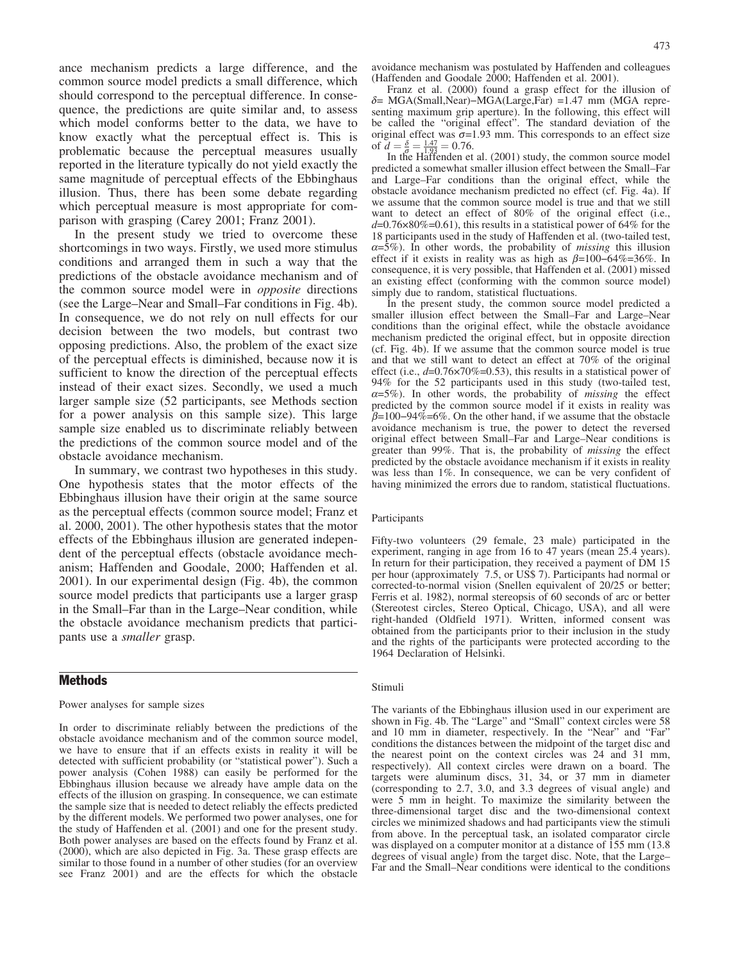ance mechanism predicts a large difference, and the common source model predicts a small difference, which should correspond to the perceptual difference. In consequence, the predictions are quite similar and, to assess which model conforms better to the data, we have to know exactly what the perceptual effect is. This is problematic because the perceptual measures usually reported in the literature typically do not yield exactly the same magnitude of perceptual effects of the Ebbinghaus illusion. Thus, there has been some debate regarding which perceptual measure is most appropriate for comparison with grasping (Carey 2001; Franz 2001).

In the present study we tried to overcome these shortcomings in two ways. Firstly, we used more stimulus conditions and arranged them in such a way that the predictions of the obstacle avoidance mechanism and of the common source model were in opposite directions (see the Large–Near and Small–Far conditions in Fig. 4b). In consequence, we do not rely on null effects for our decision between the two models, but contrast two opposing predictions. Also, the problem of the exact size of the perceptual effects is diminished, because now it is sufficient to know the direction of the perceptual effects instead of their exact sizes. Secondly, we used a much larger sample size (52 participants, see Methods section for a power analysis on this sample size). This large sample size enabled us to discriminate reliably between the predictions of the common source model and of the obstacle avoidance mechanism.

In summary, we contrast two hypotheses in this study. One hypothesis states that the motor effects of the Ebbinghaus illusion have their origin at the same source as the perceptual effects (common source model; Franz et al. 2000, 2001). The other hypothesis states that the motor effects of the Ebbinghaus illusion are generated independent of the perceptual effects (obstacle avoidance mechanism; Haffenden and Goodale, 2000; Haffenden et al. 2001). In our experimental design (Fig. 4b), the common source model predicts that participants use a larger grasp in the Small–Far than in the Large–Near condition, while the obstacle avoidance mechanism predicts that participants use a smaller grasp.

## Methods

### Power analyses for sample sizes

In order to discriminate reliably between the predictions of the obstacle avoidance mechanism and of the common source model, we have to ensure that if an effects exists in reality it will be detected with sufficient probability (or "statistical power"). Such a power analysis (Cohen 1988) can easily be performed for the Ebbinghaus illusion because we already have ample data on the effects of the illusion on grasping. In consequence, we can estimate the sample size that is needed to detect reliably the effects predicted by the different models. We performed two power analyses, one for the study of Haffenden et al. (2001) and one for the present study. Both power analyses are based on the effects found by Franz et al. (2000), which are also depicted in Fig. 3a. These grasp effects are similar to those found in a number of other studies (for an overview see Franz 2001) and are the effects for which the obstacle avoidance mechanism was postulated by Haffenden and colleagues (Haffenden and Goodale 2000; Haffenden et al. 2001).

Franz et al. (2000) found a grasp effect for the illusion of  $\delta$ = MGA(Small,Near)-MGA(Large,Far) =1.47 mm (MGA representing maximum grip aperture). In the following, this effect will be called the "original effect". The standard deviation of the original effect was  $\sigma$ =1.93 mm. This corresponds to an effect size of  $\vec{d} = \frac{\delta}{\epsilon} = \frac{1.47}{1.93} = 0.76$ .<br>In the Haffenden et al. (2001) study, the common source model

predicted a somewhat smaller illusion effect between the Small–Far and Large–Far conditions than the original effect, while the obstacle avoidance mechanism predicted no effect (cf. Fig. 4a). If we assume that the common source model is true and that we still want to detect an effect of 80% of the original effect (i.e.,  $d=0.76\times80\%$ =0.61), this results in a statistical power of 64% for the 18 participants used in the study of Haffenden et al. (two-tailed test,  $\alpha = 5\%$ ). In other words, the probability of *missing* this illusion effect if it exists in reality was as high as  $\beta=100-64\%=36\%$ . In consequence, it is very possible, that Haffenden et al. (2001) missed an existing effect (conforming with the common source model) simply due to random, statistical fluctuations.

In the present study, the common source model predicted a smaller illusion effect between the Small–Far and Large–Near conditions than the original effect, while the obstacle avoidance mechanism predicted the original effect, but in opposite direction (cf. Fig. 4b). If we assume that the common source model is true and that we still want to detect an effect at 70% of the original effect (i.e.,  $d=0.76\times70\%=0.53$ ), this results in a statistical power of 94% for the 52 participants used in this study (two-tailed test,  $\alpha=5\%$ ). In other words, the probability of *missing* the effect predicted by the common source model if it exists in reality was  $\beta$ =100–94%=6%. On the other hand, if we assume that the obstacle avoidance mechanism is true, the power to detect the reversed original effect between Small–Far and Large–Near conditions is greater than 99%. That is, the probability of missing the effect predicted by the obstacle avoidance mechanism if it exists in reality was less than 1%. In consequence, we can be very confident of having minimized the errors due to random, statistical fluctuations.

#### Participants

Fifty-two volunteers (29 female, 23 male) participated in the experiment, ranging in age from 16 to 47 years (mean 25.4 years). In return for their participation, they received a payment of DM 15 per hour (approximately 7.5, or US\$ 7). Participants had normal or corrected-to-normal vision (Snellen equivalent of 20/25 or better; Ferris et al. 1982), normal stereopsis of 60 seconds of arc or better (Stereotest circles, Stereo Optical, Chicago, USA), and all were right-handed (Oldfield 1971). Written, informed consent was obtained from the participants prior to their inclusion in the study and the rights of the participants were protected according to the 1964 Declaration of Helsinki.

### Stimuli

The variants of the Ebbinghaus illusion used in our experiment are shown in Fig. 4b. The "Large" and "Small" context circles were 58 and 10 mm in diameter, respectively. In the "Near" and "Far" conditions the distances between the midpoint of the target disc and the nearest point on the context circles was 24 and 31 mm, respectively). All context circles were drawn on a board. The targets were aluminum discs, 31, 34, or 37 mm in diameter (corresponding to 2.7, 3.0, and 3.3 degrees of visual angle) and were 5 mm in height. To maximize the similarity between the three-dimensional target disc and the two-dimensional context circles we minimized shadows and had participants view the stimuli from above. In the perceptual task, an isolated comparator circle was displayed on a computer monitor at a distance of  $155 \text{ mm}$  (13.8) degrees of visual angle) from the target disc. Note, that the Large– Far and the Small–Near conditions were identical to the conditions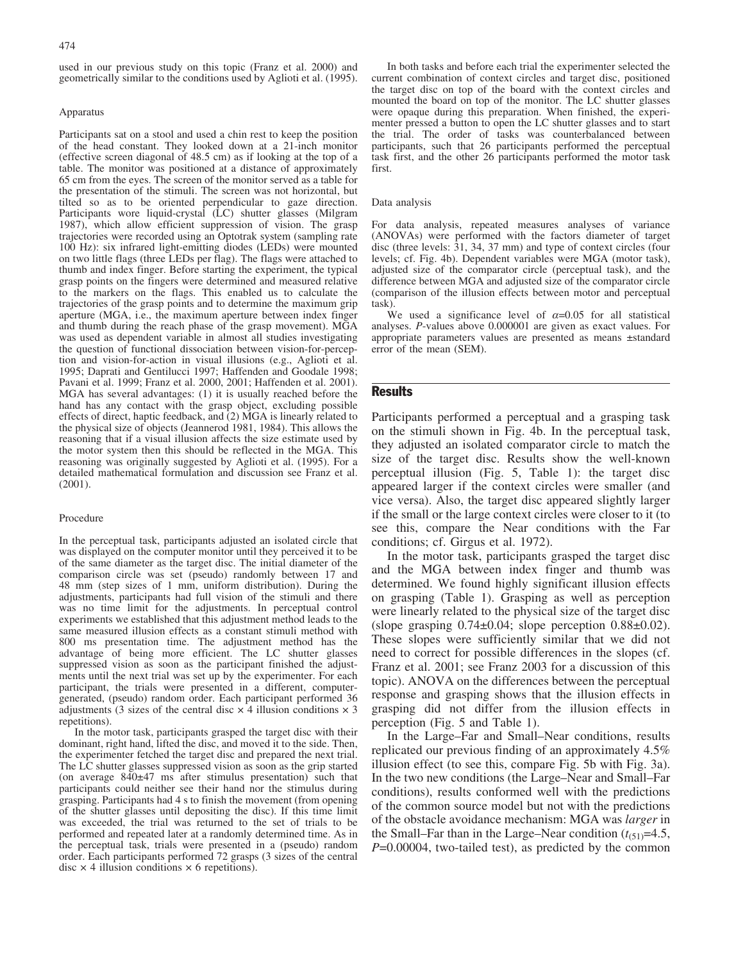used in our previous study on this topic (Franz et al. 2000) and geometrically similar to the conditions used by Aglioti et al. (1995).

## Apparatus

Participants sat on a stool and used a chin rest to keep the position of the head constant. They looked down at a 21-inch monitor (effective screen diagonal of 48.5 cm) as if looking at the top of a table. The monitor was positioned at a distance of approximately 65 cm from the eyes. The screen of the monitor served as a table for the presentation of the stimuli. The screen was not horizontal, but tilted so as to be oriented perpendicular to gaze direction. Participants wore liquid-crystal (LC) shutter glasses (Milgram 1987), which allow efficient suppression of vision. The grasp trajectories were recorded using an Optotrak system (sampling rate 100 Hz): six infrared light-emitting diodes (LEDs) were mounted on two little flags (three LEDs per flag). The flags were attached to thumb and index finger. Before starting the experiment, the typical grasp points on the fingers were determined and measured relative to the markers on the flags. This enabled us to calculate the trajectories of the grasp points and to determine the maximum grip aperture (MGA, i.e., the maximum aperture between index finger and thumb during the reach phase of the grasp movement). MGA was used as dependent variable in almost all studies investigating the question of functional dissociation between vision-for-perception and vision-for-action in visual illusions (e.g., Aglioti et al. 1995; Daprati and Gentilucci 1997; Haffenden and Goodale 1998; Pavani et al. 1999; Franz et al. 2000, 2001; Haffenden et al. 2001). MGA has several advantages: (1) it is usually reached before the hand has any contact with the grasp object, excluding possible effects of direct, haptic feedback, and (2) MGA is linearly related to the physical size of objects (Jeannerod 1981, 1984). This allows the reasoning that if a visual illusion affects the size estimate used by the motor system then this should be reflected in the MGA. This reasoning was originally suggested by Aglioti et al. (1995). For a detailed mathematical formulation and discussion see Franz et al. (2001).

#### Procedure

In the perceptual task, participants adjusted an isolated circle that was displayed on the computer monitor until they perceived it to be of the same diameter as the target disc. The initial diameter of the comparison circle was set (pseudo) randomly between 17 and 48 mm (step sizes of 1 mm, uniform distribution). During the adjustments, participants had full vision of the stimuli and there was no time limit for the adjustments. In perceptual control experiments we established that this adjustment method leads to the same measured illusion effects as a constant stimuli method with 800 ms presentation time. The adjustment method has the advantage of being more efficient. The LC shutter glasses suppressed vision as soon as the participant finished the adjustments until the next trial was set up by the experimenter. For each participant, the trials were presented in a different, computergenerated, (pseudo) random order. Each participant performed 36 adjustments (3 sizes of the central disc  $\times$  4 illusion conditions  $\times$  3 repetitions).

In the motor task, participants grasped the target disc with their dominant, right hand, lifted the disc, and moved it to the side. Then, the experimenter fetched the target disc and prepared the next trial. The LC shutter glasses suppressed vision as soon as the grip started (on average  $840±47$  ms after stimulus presentation) such that participants could neither see their hand nor the stimulus during grasping. Participants had 4 s to finish the movement (from opening of the shutter glasses until depositing the disc). If this time limit was exceeded, the trial was returned to the set of trials to be performed and repeated later at a randomly determined time. As in the perceptual task, trials were presented in a (pseudo) random order. Each participants performed 72 grasps (3 sizes of the central disc  $\times$  4 illusion conditions  $\times$  6 repetitions).

In both tasks and before each trial the experimenter selected the current combination of context circles and target disc, positioned the target disc on top of the board with the context circles and mounted the board on top of the monitor. The LC shutter glasses were opaque during this preparation. When finished, the experimenter pressed a button to open the LC shutter glasses and to start the trial. The order of tasks was counterbalanced between participants, such that 26 participants performed the perceptual task first, and the other 26 participants performed the motor task first.

## Data analysis

For data analysis, repeated measures analyses of variance (ANOVAs) were performed with the factors diameter of target disc (three levels: 31, 34, 37 mm) and type of context circles (four levels; cf. Fig. 4b). Dependent variables were MGA (motor task), adjusted size of the comparator circle (perceptual task), and the difference between MGA and adjusted size of the comparator circle (comparison of the illusion effects between motor and perceptual task).

We used a significance level of  $\alpha$ =0.05 for all statistical analyses. P-values above 0.000001 are given as exact values. For appropriate parameters values are presented as means ±standard error of the mean (SEM).

# **Results**

Participants performed a perceptual and a grasping task on the stimuli shown in Fig. 4b. In the perceptual task, they adjusted an isolated comparator circle to match the size of the target disc. Results show the well-known perceptual illusion (Fig. 5, Table 1): the target disc appeared larger if the context circles were smaller (and vice versa). Also, the target disc appeared slightly larger if the small or the large context circles were closer to it (to see this, compare the Near conditions with the Far conditions; cf. Girgus et al. 1972).

In the motor task, participants grasped the target disc and the MGA between index finger and thumb was determined. We found highly significant illusion effects on grasping (Table 1). Grasping as well as perception were linearly related to the physical size of the target disc (slope grasping  $0.74\pm0.04$ ; slope perception  $0.88\pm0.02$ ). These slopes were sufficiently similar that we did not need to correct for possible differences in the slopes (cf. Franz et al. 2001; see Franz 2003 for a discussion of this topic). ANOVA on the differences between the perceptual response and grasping shows that the illusion effects in grasping did not differ from the illusion effects in perception (Fig. 5 and Table 1).

In the Large–Far and Small–Near conditions, results replicated our previous finding of an approximately 4.5% illusion effect (to see this, compare Fig. 5b with Fig. 3a). In the two new conditions (the Large–Near and Small–Far conditions), results conformed well with the predictions of the common source model but not with the predictions of the obstacle avoidance mechanism: MGA was larger in the Small–Far than in the Large–Near condition  $(t_{(51)}=4.5,$  $P=0.00004$ , two-tailed test), as predicted by the common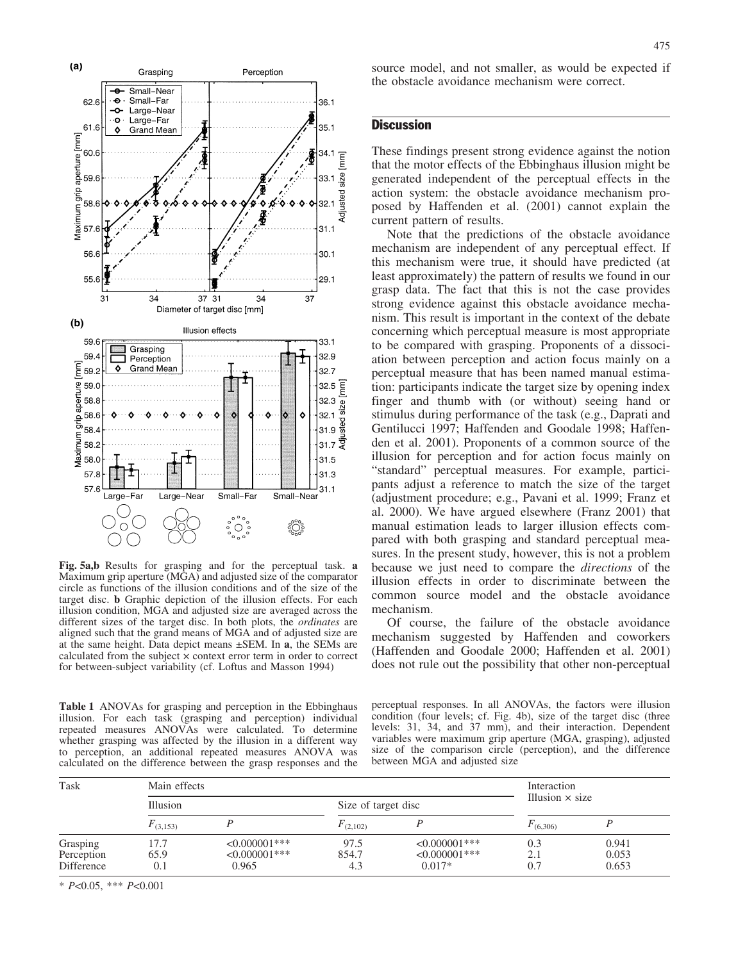

Fig. 5a,b Results for grasping and for the perceptual task. a Maximum grip aperture (MGA) and adjusted size of the comparator circle as functions of the illusion conditions and of the size of the target disc. b Graphic depiction of the illusion effects. For each illusion condition, MGA and adjusted size are averaged across the different sizes of the target disc. In both plots, the ordinates are aligned such that the grand means of MGA and of adjusted size are at the same height. Data depict means ±SEM. In a, the SEMs are calculated from the subject  $\times$  context error term in order to correct for between-subject variability (cf. Loftus and Masson 1994)

Table 1 ANOVAs for grasping and perception in the Ebbinghaus illusion. For each task (grasping and perception) individual repeated measures ANOVAs were calculated. To determine whether grasping was affected by the illusion in a different way to perception, an additional repeated measures ANOVA was calculated on the difference between the grasp responses and the

source model, and not smaller, as would be expected if the obstacle avoidance mechanism were correct.

# **Discussion**

These findings present strong evidence against the notion that the motor effects of the Ebbinghaus illusion might be generated independent of the perceptual effects in the action system: the obstacle avoidance mechanism proposed by Haffenden et al. (2001) cannot explain the current pattern of results.

Note that the predictions of the obstacle avoidance mechanism are independent of any perceptual effect. If this mechanism were true, it should have predicted (at least approximately) the pattern of results we found in our grasp data. The fact that this is not the case provides strong evidence against this obstacle avoidance mechanism. This result is important in the context of the debate concerning which perceptual measure is most appropriate to be compared with grasping. Proponents of a dissociation between perception and action focus mainly on a perceptual measure that has been named manual estimation: participants indicate the target size by opening index finger and thumb with (or without) seeing hand or stimulus during performance of the task (e.g., Daprati and Gentilucci 1997; Haffenden and Goodale 1998; Haffenden et al. 2001). Proponents of a common source of the illusion for perception and for action focus mainly on "standard" perceptual measures. For example, participants adjust a reference to match the size of the target (adjustment procedure; e.g., Pavani et al. 1999; Franz et al. 2000). We have argued elsewhere (Franz 2001) that manual estimation leads to larger illusion effects compared with both grasping and standard perceptual measures. In the present study, however, this is not a problem because we just need to compare the directions of the illusion effects in order to discriminate between the common source model and the obstacle avoidance mechanism.

Of course, the failure of the obstacle avoidance mechanism suggested by Haffenden and coworkers (Haffenden and Goodale 2000; Haffenden et al. 2001) does not rule out the possibility that other non-perceptual

perceptual responses. In all ANOVAs, the factors were illusion condition (four levels; cf. Fig. 4b), size of the target disc (three levels: 31, 34, and 37 mm), and their interaction. Dependent variables were maximum grip aperture (MGA, grasping), adjusted size of the comparison circle (perception), and the difference between MGA and adjusted size

| Task                                 | Main effects        |                                                |                      |                                                        | Interaction            |                         |  |
|--------------------------------------|---------------------|------------------------------------------------|----------------------|--------------------------------------------------------|------------------------|-------------------------|--|
|                                      | <b>Illusion</b>     |                                                | Size of target disc  |                                                        | Illusion $\times$ size |                         |  |
|                                      | $F_{(3,153)}$       |                                                | F(2,102)             |                                                        | $F_{(6,306)}$          |                         |  |
| Grasping<br>Perception<br>Difference | 17.7<br>65.9<br>0.1 | $\leq 0.000001$ ***<br>$<0.000001***$<br>0.965 | 97.5<br>854.7<br>4.3 | $\leq 0.000001$ ***<br>$\leq 0.000001$ ***<br>$0.017*$ | 0.3<br>2.1<br>0.7      | 0.941<br>0.053<br>0.653 |  |

\* P<0.05, \*\*\* P<0.001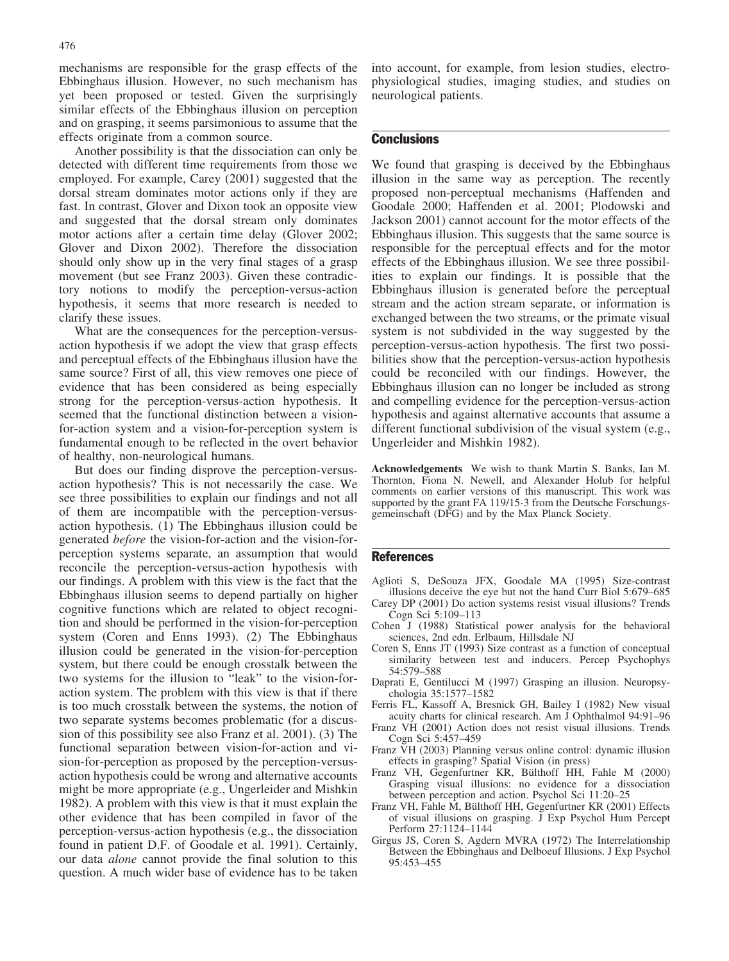mechanisms are responsible for the grasp effects of the Ebbinghaus illusion. However, no such mechanism has yet been proposed or tested. Given the surprisingly similar effects of the Ebbinghaus illusion on perception and on grasping, it seems parsimonious to assume that the effects originate from a common source.

Another possibility is that the dissociation can only be detected with different time requirements from those we employed. For example, Carey (2001) suggested that the dorsal stream dominates motor actions only if they are fast. In contrast, Glover and Dixon took an opposite view and suggested that the dorsal stream only dominates motor actions after a certain time delay (Glover 2002; Glover and Dixon 2002). Therefore the dissociation should only show up in the very final stages of a grasp movement (but see Franz 2003). Given these contradictory notions to modify the perception-versus-action hypothesis, it seems that more research is needed to clarify these issues.

What are the consequences for the perception-versusaction hypothesis if we adopt the view that grasp effects and perceptual effects of the Ebbinghaus illusion have the same source? First of all, this view removes one piece of evidence that has been considered as being especially strong for the perception-versus-action hypothesis. It seemed that the functional distinction between a visionfor-action system and a vision-for-perception system is fundamental enough to be reflected in the overt behavior of healthy, non-neurological humans.

But does our finding disprove the perception-versusaction hypothesis? This is not necessarily the case. We see three possibilities to explain our findings and not all of them are incompatible with the perception-versusaction hypothesis. (1) The Ebbinghaus illusion could be generated before the vision-for-action and the vision-forperception systems separate, an assumption that would reconcile the perception-versus-action hypothesis with our findings. A problem with this view is the fact that the Ebbinghaus illusion seems to depend partially on higher cognitive functions which are related to object recognition and should be performed in the vision-for-perception system (Coren and Enns 1993). (2) The Ebbinghaus illusion could be generated in the vision-for-perception system, but there could be enough crosstalk between the two systems for the illusion to "leak" to the vision-foraction system. The problem with this view is that if there is too much crosstalk between the systems, the notion of two separate systems becomes problematic (for a discussion of this possibility see also Franz et al. 2001). (3) The functional separation between vision-for-action and vision-for-perception as proposed by the perception-versusaction hypothesis could be wrong and alternative accounts might be more appropriate (e.g., Ungerleider and Mishkin 1982). A problem with this view is that it must explain the other evidence that has been compiled in favor of the perception-versus-action hypothesis (e.g., the dissociation found in patient D.F. of Goodale et al. 1991). Certainly, our data alone cannot provide the final solution to this question. A much wider base of evidence has to be taken into account, for example, from lesion studies, electrophysiological studies, imaging studies, and studies on neurological patients.

# **Conclusions**

We found that grasping is deceived by the Ebbinghaus illusion in the same way as perception. The recently proposed non-perceptual mechanisms (Haffenden and Goodale 2000; Haffenden et al. 2001; Plodowski and Jackson 2001) cannot account for the motor effects of the Ebbinghaus illusion. This suggests that the same source is responsible for the perceptual effects and for the motor effects of the Ebbinghaus illusion. We see three possibilities to explain our findings. It is possible that the Ebbinghaus illusion is generated before the perceptual stream and the action stream separate, or information is exchanged between the two streams, or the primate visual system is not subdivided in the way suggested by the perception-versus-action hypothesis. The first two possibilities show that the perception-versus-action hypothesis could be reconciled with our findings. However, the Ebbinghaus illusion can no longer be included as strong and compelling evidence for the perception-versus-action hypothesis and against alternative accounts that assume a different functional subdivision of the visual system (e.g., Ungerleider and Mishkin 1982).

Acknowledgements We wish to thank Martin S. Banks, Ian M. Thornton, Fiona N. Newell, and Alexander Holub for helpful comments on earlier versions of this manuscript. This work was supported by the grant FA 119/15-3 from the Deutsche Forschungsgemeinschaft (DFG) and by the Max Planck Society.

## References

- Aglioti S, DeSouza JFX, Goodale MA (1995) Size-contrast illusions deceive the eye but not the hand Curr Biol 5:679–685
- Carey DP (2001) Do action systems resist visual illusions? Trends Cogn Sci 5:109–113
- Cohen J (1988) Statistical power analysis for the behavioral sciences, 2nd edn. Erlbaum, Hillsdale NJ
- Coren S, Enns JT (1993) Size contrast as a function of conceptual similarity between test and inducers. Percep Psychophys 54:579–588
- Daprati E, Gentilucci M (1997) Grasping an illusion. Neuropsychologia 35:1577–1582
- Ferris FL, Kassoff A, Bresnick GH, Bailey I (1982) New visual acuity charts for clinical research. Am J Ophthalmol 94:91–96
- Franz VH (2001) Action does not resist visual illusions. Trends Cogn Sci 5:457–459
- Franz VH (2003) Planning versus online control: dynamic illusion effects in grasping? Spatial Vision (in press)
- Franz VH, Gegenfurtner KR, Bülthoff HH, Fahle M (2000) Grasping visual illusions: no evidence for a dissociation between perception and action. Psychol Sci 11:20–25
- Franz VH, Fahle M, Bülthoff HH, Gegenfurtner KR (2001) Effects of visual illusions on grasping. J Exp Psychol Hum Percept Perform 27:1124–1144
- Girgus JS, Coren S, Agdern MVRA (1972) The Interrelationship Between the Ebbinghaus and Delboeuf Illusions. J Exp Psychol 95:453–455